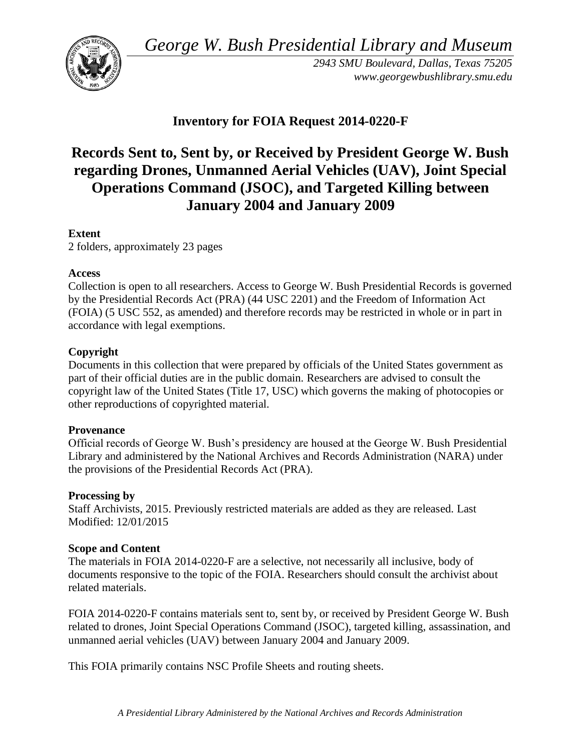*George W. Bush Presidential Library and Museum* 



*2943 SMU Boulevard, Dallas, Texas 75205 <www.georgewbushlibrary.smu.edu>* 

# **Inventory for FOIA Request 2014-0220-F**

# **Records Sent to, Sent by, or Received by President George W. Bush regarding Drones, Unmanned Aerial Vehicles (UAV), Joint Special Operations Command (JSOC), and Targeted Killing between January 2004 and January 2009**

### **Extent**

2 folders, approximately 23 pages

#### **Access**

Collection is open to all researchers. Access to George W. Bush Presidential Records is governed by the Presidential Records Act (PRA) (44 USC 2201) and the Freedom of Information Act (FOIA) (5 USC 552, as amended) and therefore records may be restricted in whole or in part in accordance with legal exemptions.

## **Copyright**

 Documents in this collection that were prepared by officials of the United States government as part of their official duties are in the public domain. Researchers are advised to consult the copyright law of the United States (Title 17, USC) which governs the making of photocopies or other reproductions of copyrighted material.

#### **Provenance**

Official records of George W. Bush's presidency are housed at the George W. Bush Presidential Library and administered by the National Archives and Records Administration (NARA) under the provisions of the Presidential Records Act (PRA).

#### **Processing by**

 Modified: 12/01/2015 Staff Archivists, 2015. Previously restricted materials are added as they are released. Last

#### **Scope and Content**

 documents responsive to the topic of the FOIA. Researchers should consult the archivist about The materials in FOIA 2014-0220-F are a selective, not necessarily all inclusive, body of related materials.

FOIA 2014-0220-F contains materials sent to, sent by, or received by President George W. Bush related to drones, Joint Special Operations Command (JSOC), targeted killing, assassination, and unmanned aerial vehicles (UAV) between January 2004 and January 2009.

This FOIA primarily contains NSC Profile Sheets and routing sheets.